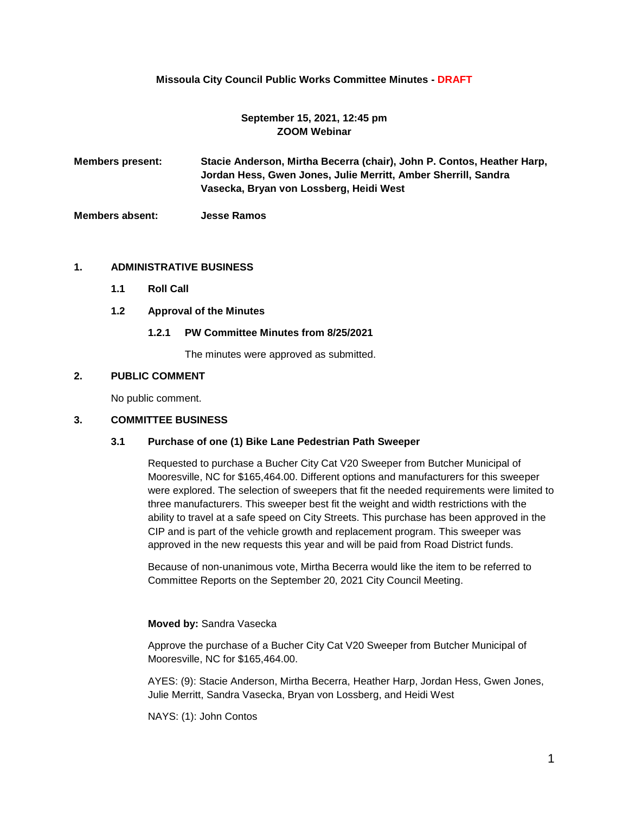## **Missoula City Council Public Works Committee Minutes - DRAFT**

## **September 15, 2021, 12:45 pm ZOOM Webinar**

**Members present: Stacie Anderson, Mirtha Becerra (chair), John P. Contos, Heather Harp, Jordan Hess, Gwen Jones, Julie Merritt, Amber Sherrill, Sandra Vasecka, Bryan von Lossberg, Heidi West**

**Members absent: Jesse Ramos**

### **1. ADMINISTRATIVE BUSINESS**

- **1.1 Roll Call**
- **1.2 Approval of the Minutes**

#### **1.2.1 PW Committee Minutes from 8/25/2021**

The minutes were approved as submitted.

# **2. PUBLIC COMMENT**

No public comment.

### **3. COMMITTEE BUSINESS**

#### **3.1 Purchase of one (1) Bike Lane Pedestrian Path Sweeper**

Requested to purchase a Bucher City Cat V20 Sweeper from Butcher Municipal of Mooresville, NC for \$165,464.00. Different options and manufacturers for this sweeper were explored. The selection of sweepers that fit the needed requirements were limited to three manufacturers. This sweeper best fit the weight and width restrictions with the ability to travel at a safe speed on City Streets. This purchase has been approved in the CIP and is part of the vehicle growth and replacement program. This sweeper was approved in the new requests this year and will be paid from Road District funds.

Because of non-unanimous vote, Mirtha Becerra would like the item to be referred to Committee Reports on the September 20, 2021 City Council Meeting.

#### **Moved by:** Sandra Vasecka

Approve the purchase of a Bucher City Cat V20 Sweeper from Butcher Municipal of Mooresville, NC for \$165,464.00.

AYES: (9): Stacie Anderson, Mirtha Becerra, Heather Harp, Jordan Hess, Gwen Jones, Julie Merritt, Sandra Vasecka, Bryan von Lossberg, and Heidi West

NAYS: (1): John Contos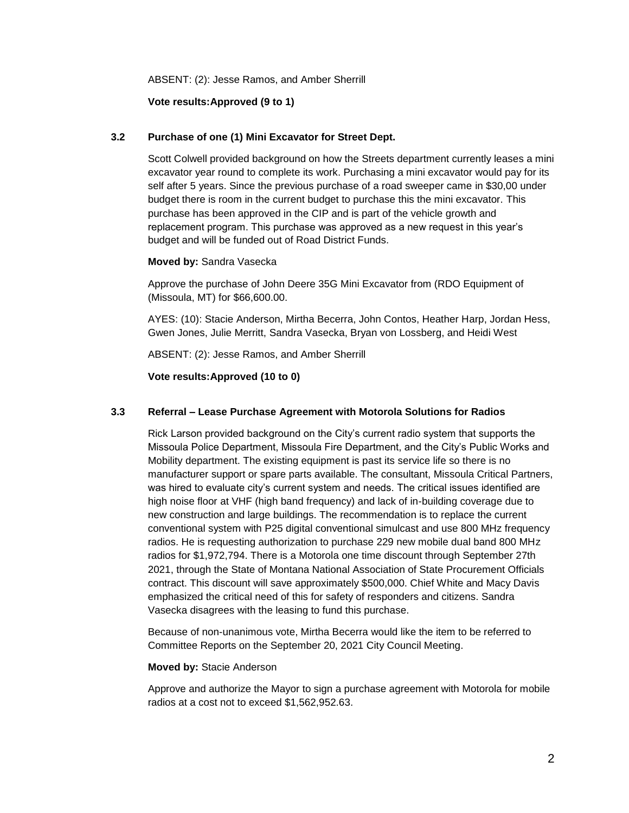ABSENT: (2): Jesse Ramos, and Amber Sherrill

## **Vote results:Approved (9 to 1)**

### **3.2 Purchase of one (1) Mini Excavator for Street Dept.**

Scott Colwell provided background on how the Streets department currently leases a mini excavator year round to complete its work. Purchasing a mini excavator would pay for its self after 5 years. Since the previous purchase of a road sweeper came in \$30,00 under budget there is room in the current budget to purchase this the mini excavator. This purchase has been approved in the CIP and is part of the vehicle growth and replacement program. This purchase was approved as a new request in this year's budget and will be funded out of Road District Funds.

#### **Moved by:** Sandra Vasecka

Approve the purchase of John Deere 35G Mini Excavator from (RDO Equipment of (Missoula, MT) for \$66,600.00.

AYES: (10): Stacie Anderson, Mirtha Becerra, John Contos, Heather Harp, Jordan Hess, Gwen Jones, Julie Merritt, Sandra Vasecka, Bryan von Lossberg, and Heidi West

ABSENT: (2): Jesse Ramos, and Amber Sherrill

**Vote results:Approved (10 to 0)**

### **3.3 Referral – Lease Purchase Agreement with Motorola Solutions for Radios**

Rick Larson provided background on the City's current radio system that supports the Missoula Police Department, Missoula Fire Department, and the City's Public Works and Mobility department. The existing equipment is past its service life so there is no manufacturer support or spare parts available. The consultant, Missoula Critical Partners, was hired to evaluate city's current system and needs. The critical issues identified are high noise floor at VHF (high band frequency) and lack of in-building coverage due to new construction and large buildings. The recommendation is to replace the current conventional system with P25 digital conventional simulcast and use 800 MHz frequency radios. He is requesting authorization to purchase 229 new mobile dual band 800 MHz radios for \$1,972,794. There is a Motorola one time discount through September 27th 2021, through the State of Montana National Association of State Procurement Officials contract. This discount will save approximately \$500,000. Chief White and Macy Davis emphasized the critical need of this for safety of responders and citizens. Sandra Vasecka disagrees with the leasing to fund this purchase.

Because of non-unanimous vote, Mirtha Becerra would like the item to be referred to Committee Reports on the September 20, 2021 City Council Meeting.

#### **Moved by:** Stacie Anderson

Approve and authorize the Mayor to sign a purchase agreement with Motorola for mobile radios at a cost not to exceed \$1,562,952.63.